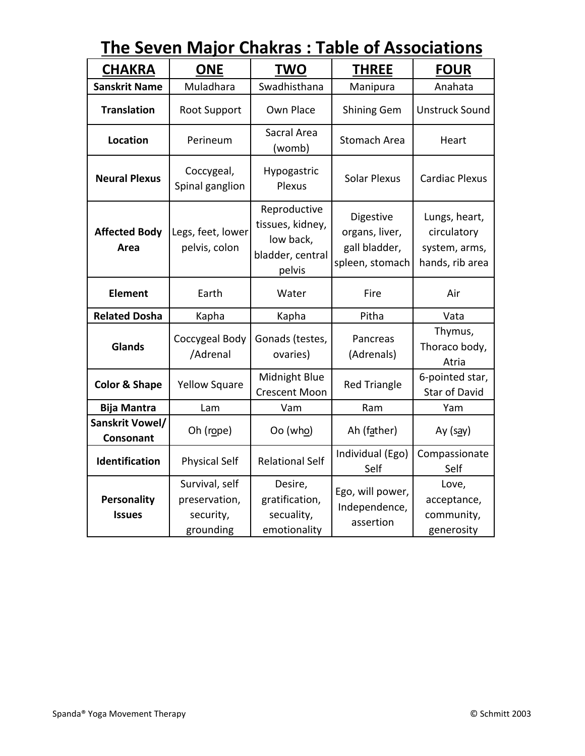| THE JEVEIT MIGJUT<br><u>Chantas . Table of Associations</u> |                                                           |                                                                             |                                                                 |                                                                  |
|-------------------------------------------------------------|-----------------------------------------------------------|-----------------------------------------------------------------------------|-----------------------------------------------------------------|------------------------------------------------------------------|
| <b>CHAKRA</b>                                               | <b>ONE</b>                                                | <b>TWO</b>                                                                  | <b>THREE</b>                                                    | <b>FOUR</b>                                                      |
| <b>Sanskrit Name</b>                                        | Muladhara                                                 | Swadhisthana                                                                | Manipura                                                        | Anahata                                                          |
| <b>Translation</b>                                          | <b>Root Support</b>                                       | Own Place                                                                   | <b>Shining Gem</b>                                              | <b>Unstruck Sound</b>                                            |
| <b>Location</b>                                             | Perineum                                                  | Sacral Area<br>(womb)                                                       | <b>Stomach Area</b>                                             | Heart                                                            |
| <b>Neural Plexus</b>                                        | Coccygeal,<br>Spinal ganglion                             | Hypogastric<br>Plexus                                                       | <b>Solar Plexus</b>                                             | <b>Cardiac Plexus</b>                                            |
| <b>Affected Body</b><br>Area                                | Legs, feet, lower<br>pelvis, colon                        | Reproductive<br>tissues, kidney,<br>low back,<br>bladder, central<br>pelvis | Digestive<br>organs, liver,<br>gall bladder,<br>spleen, stomach | Lungs, heart,<br>circulatory<br>system, arms,<br>hands, rib area |
| <b>Element</b>                                              | Earth                                                     | Water                                                                       | Fire                                                            | Air                                                              |
| <b>Related Dosha</b>                                        | Kapha                                                     | Kapha                                                                       | Pitha                                                           | Vata                                                             |
| <b>Glands</b>                                               | Coccygeal Body<br>/Adrenal                                | Gonads (testes,<br>ovaries)                                                 | Pancreas<br>(Adrenals)                                          | Thymus,<br>Thoraco body,<br>Atria                                |
| <b>Color &amp; Shape</b>                                    | <b>Yellow Square</b>                                      | Midnight Blue<br><b>Crescent Moon</b>                                       | <b>Red Triangle</b>                                             | 6-pointed star,<br><b>Star of David</b>                          |
| <b>Bija Mantra</b>                                          | Lam                                                       | Vam                                                                         | Ram                                                             | Yam                                                              |
| Sanskrit Vowel/<br>Consonant                                | Oh (rope)                                                 | Oo (who)                                                                    | Ah (father)                                                     | Ay (say)                                                         |
| Identification                                              | <b>Physical Self</b>                                      | <b>Relational Self</b>                                                      | Individual (Ego)<br>Self                                        | Compassionate<br>Self                                            |
| <b>Personality</b><br><b>Issues</b>                         | Survival, self<br>preservation,<br>security,<br>grounding | Desire,<br>gratification,<br>secuality,<br>emotionality                     | Ego, will power,<br>Independence,<br>assertion                  | Love,<br>acceptance,<br>community,<br>generosity                 |

## **The Seven Major Chakras : Table of Associations**